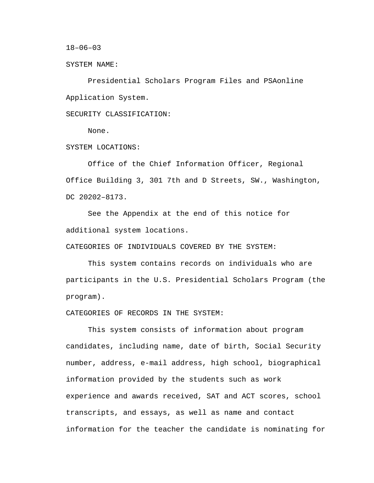$18 - 06 - 03$ 

SYSTEM NAME:

Presidential Scholars Program Files and PSAonline Application System.

SECURITY CLASSIFICATION:

None.

SYSTEM LOCATIONS:

Office of the Chief Information Officer, Regional Office Building 3, 301 7th and D Streets, SW., Washington, DC 20202–8173.

 See the Appendix at the end of this notice for additional system locations.

CATEGORIES OF INDIVIDUALS COVERED BY THE SYSTEM:

This system contains records on individuals who are participants in the U.S. Presidential Scholars Program (the program).

CATEGORIES OF RECORDS IN THE SYSTEM:

This system consists of information about program candidates, including name, date of birth, Social Security number, address, e-mail address, high school, biographical information provided by the students such as work experience and awards received, SAT and ACT scores, school transcripts, and essays, as well as name and contact information for the teacher the candidate is nominating for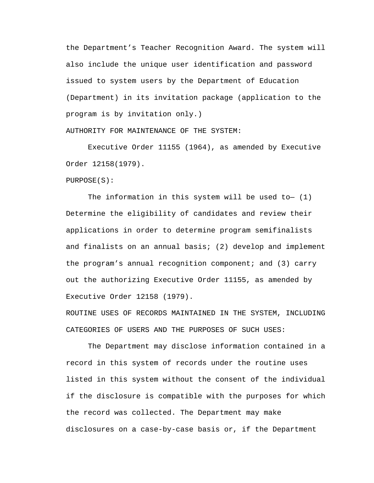the Department's Teacher Recognition Award. The system will also include the unique user identification and password issued to system users by the Department of Education (Department) in its invitation package (application to the program is by invitation only.)

AUTHORITY FOR MAINTENANCE OF THE SYSTEM:

Executive Order 11155 (1964), as amended by Executive Order 12158(1979).

PURPOSE(S):

The information in this system will be used to- $(1)$ Determine the eligibility of candidates and review their applications in order to determine program semifinalists and finalists on an annual basis; (2) develop and implement the program's annual recognition component; and (3) carry out the authorizing Executive Order 11155, as amended by Executive Order 12158 (1979).

ROUTINE USES OF RECORDS MAINTAINED IN THE SYSTEM, INCLUDING CATEGORIES OF USERS AND THE PURPOSES OF SUCH USES:

The Department may disclose information contained in a record in this system of records under the routine uses listed in this system without the consent of the individual if the disclosure is compatible with the purposes for which the record was collected. The Department may make disclosures on a case-by-case basis or, if the Department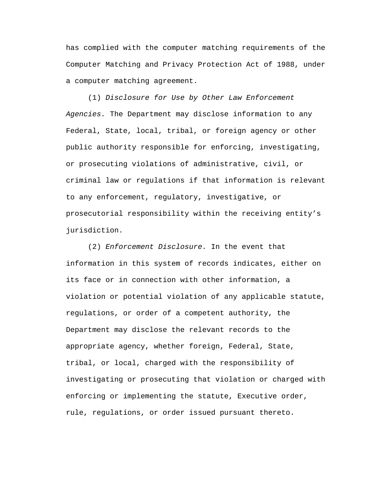has complied with the computer matching requirements of the Computer Matching and Privacy Protection Act of 1988, under a computer matching agreement.

(1) *Disclosure for Use by Other Law Enforcement Agencies.* The Department may disclose information to any Federal, State, local, tribal, or foreign agency or other public authority responsible for enforcing, investigating, or prosecuting violations of administrative, civil, or criminal law or regulations if that information is relevant to any enforcement, regulatory, investigative, or prosecutorial responsibility within the receiving entity's jurisdiction.

(2) *Enforcement Disclosure.* In the event that information in this system of records indicates, either on its face or in connection with other information, a violation or potential violation of any applicable statute, regulations, or order of a competent authority, the Department may disclose the relevant records to the appropriate agency, whether foreign, Federal, State, tribal, or local, charged with the responsibility of investigating or prosecuting that violation or charged with enforcing or implementing the statute, Executive order, rule, regulations, or order issued pursuant thereto.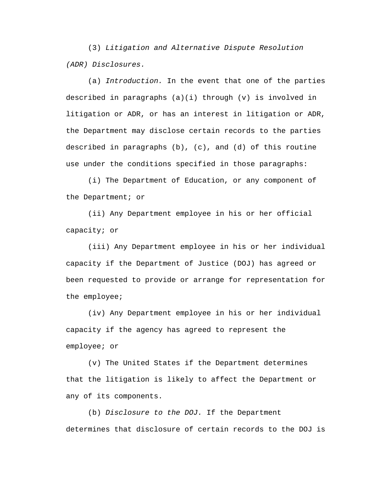(3) *Litigation and Alternative Dispute Resolution (ADR) Disclosures.* 

(a) *Introduction.* In the event that one of the parties described in paragraphs  $(a)(i)$  through  $(v)$  is involved in litigation or ADR, or has an interest in litigation or ADR, the Department may disclose certain records to the parties described in paragraphs (b), (c), and (d) of this routine use under the conditions specified in those paragraphs:

(i) The Department of Education, or any component of the Department; or

(ii) Any Department employee in his or her official capacity; or

(iii) Any Department employee in his or her individual capacity if the Department of Justice (DOJ) has agreed or been requested to provide or arrange for representation for the employee;

(iv) Any Department employee in his or her individual capacity if the agency has agreed to represent the employee; or

(v) The United States if the Department determines that the litigation is likely to affect the Department or any of its components.

(b) *Disclosure to the DOJ.* If the Department determines that disclosure of certain records to the DOJ is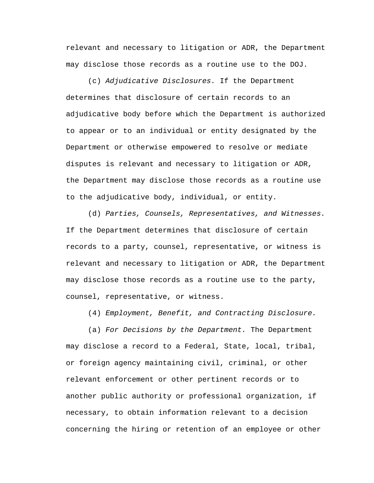relevant and necessary to litigation or ADR, the Department may disclose those records as a routine use to the DOJ.

(c) *Adjudicative Disclosures.* If the Department determines that disclosure of certain records to an adjudicative body before which the Department is authorized to appear or to an individual or entity designated by the Department or otherwise empowered to resolve or mediate disputes is relevant and necessary to litigation or ADR, the Department may disclose those records as a routine use to the adjudicative body, individual, or entity.

(d) *Parties, Counsels, Representatives, and Witnesses.*  If the Department determines that disclosure of certain records to a party, counsel, representative, or witness is relevant and necessary to litigation or ADR, the Department may disclose those records as a routine use to the party, counsel, representative, or witness.

(4) *Employment, Benefit, and Contracting Disclosure.* 

(a) *For Decisions by the Department.* The Department may disclose a record to a Federal, State, local, tribal, or foreign agency maintaining civil, criminal, or other relevant enforcement or other pertinent records or to another public authority or professional organization, if necessary, to obtain information relevant to a decision concerning the hiring or retention of an employee or other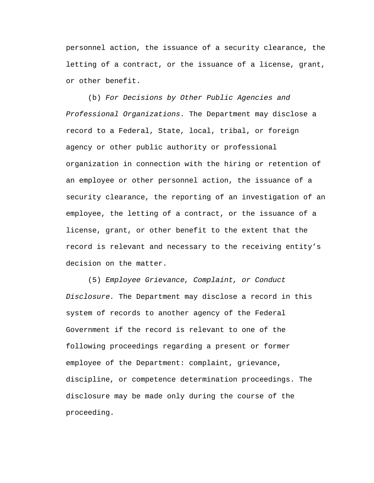personnel action, the issuance of a security clearance, the letting of a contract, or the issuance of a license, grant, or other benefit.

(b) *For Decisions by Other Public Agencies and Professional Organizations.* The Department may disclose a record to a Federal, State, local, tribal, or foreign agency or other public authority or professional organization in connection with the hiring or retention of an employee or other personnel action, the issuance of a security clearance, the reporting of an investigation of an employee, the letting of a contract, or the issuance of a license, grant, or other benefit to the extent that the record is relevant and necessary to the receiving entity's decision on the matter.

(5) *Employee Grievance, Complaint, or Conduct Disclosure.* The Department may disclose a record in this system of records to another agency of the Federal Government if the record is relevant to one of the following proceedings regarding a present or former employee of the Department: complaint, grievance, discipline, or competence determination proceedings. The disclosure may be made only during the course of the proceeding.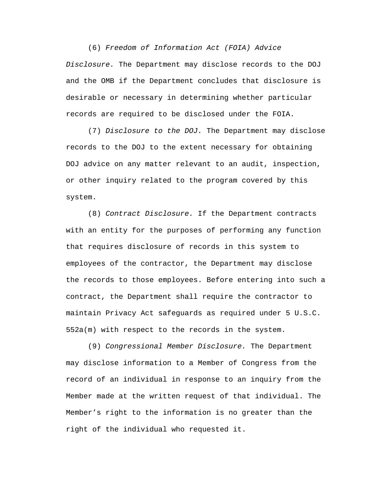(6) *Freedom of Information Act (FOIA) Advice Disclosure.* The Department may disclose records to the DOJ and the OMB if the Department concludes that disclosure is desirable or necessary in determining whether particular records are required to be disclosed under the FOIA.

(7) *Disclosure to the DOJ.* The Department may disclose records to the DOJ to the extent necessary for obtaining DOJ advice on any matter relevant to an audit, inspection, or other inquiry related to the program covered by this system.

(8) *Contract Disclosure.* If the Department contracts with an entity for the purposes of performing any function that requires disclosure of records in this system to employees of the contractor, the Department may disclose the records to those employees. Before entering into such a contract, the Department shall require the contractor to maintain Privacy Act safeguards as required under 5 U.S.C. 552a(m) with respect to the records in the system.

(9) *Congressional Member Disclosure.* The Department may disclose information to a Member of Congress from the record of an individual in response to an inquiry from the Member made at the written request of that individual. The Member's right to the information is no greater than the right of the individual who requested it.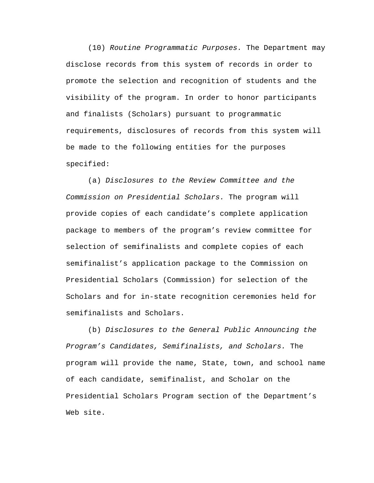(10) *Routine Programmatic Purposes.* The Department may disclose records from this system of records in order to promote the selection and recognition of students and the visibility of the program. In order to honor participants and finalists (Scholars) pursuant to programmatic requirements, disclosures of records from this system will be made to the following entities for the purposes specified:

(a) *Disclosures to the Review Committee and the Commission on Presidential Scholars.* The program will provide copies of each candidate's complete application package to members of the program's review committee for selection of semifinalists and complete copies of each semifinalist's application package to the Commission on Presidential Scholars (Commission) for selection of the Scholars and for in-state recognition ceremonies held for semifinalists and Scholars.

(b) *Disclosures to the General Public Announcing the Program's Candidates, Semifinalists, and Scholars.* The program will provide the name, State, town, and school name of each candidate, semifinalist, and Scholar on the Presidential Scholars Program section of the Department's Web site.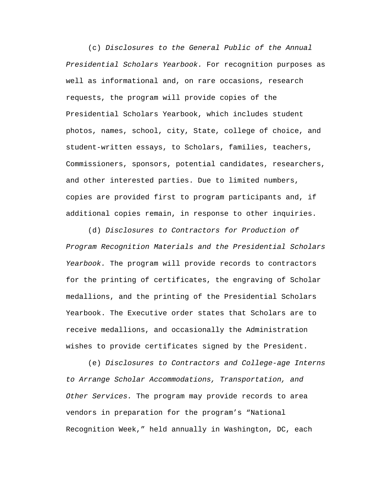(c) *Disclosures to the General Public of the Annual Presidential Scholars Yearbook.* For recognition purposes as well as informational and, on rare occasions, research requests, the program will provide copies of the Presidential Scholars Yearbook, which includes student photos, names, school, city, State, college of choice, and student-written essays, to Scholars, families, teachers, Commissioners, sponsors, potential candidates, researchers, and other interested parties. Due to limited numbers, copies are provided first to program participants and, if additional copies remain, in response to other inquiries.

(d) *Disclosures to Contractors for Production of Program Recognition Materials and the Presidential Scholars Yearbook.* The program will provide records to contractors for the printing of certificates, the engraving of Scholar medallions, and the printing of the Presidential Scholars Yearbook. The Executive order states that Scholars are to receive medallions, and occasionally the Administration wishes to provide certificates signed by the President.

(e) *Disclosures to Contractors and College-age Interns to Arrange Scholar Accommodations, Transportation, and Other Services.* The program may provide records to area vendors in preparation for the program's "National Recognition Week," held annually in Washington, DC, each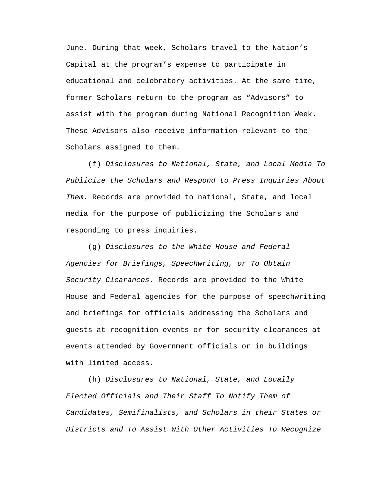June. During that week, Scholars travel to the Nation's Capital at the program's expense to participate in educational and celebratory activities. At the same time, former Scholars return to the program as "Advisors" to assist with the program during National Recognition Week. These Advisors also receive information relevant to the Scholars assigned to them.

(f) *Disclosures to National, State, and Local Media To Publicize the Scholars and Respond to Press Inquiries About Them.* Records are provided to national, State, and local media for the purpose of publicizing the Scholars and responding to press inquiries.

(g) *Disclosures to the White House and Federal Agencies for Briefings, Speechwriting, or To Obtain Security Clearances.* Records are provided to the White House and Federal agencies for the purpose of speechwriting and briefings for officials addressing the Scholars and guests at recognition events or for security clearances at events attended by Government officials or in buildings with limited access.

(h) *Disclosures to National, State, and Locally Elected Officials and Their Staff To Notify Them of Candidates, Semifinalists, and Scholars in their States or Districts and To Assist With Other Activities To Recognize*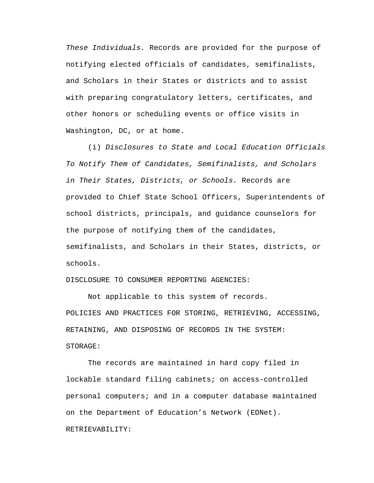*These Individuals.* Records are provided for the purpose of notifying elected officials of candidates, semifinalists, and Scholars in their States or districts and to assist with preparing congratulatory letters, certificates, and other honors or scheduling events or office visits in Washington, DC, or at home.

(i) *Disclosures to State and Local Education Officials To Notify Them of Candidates, Semifinalists, and Scholars in Their States, Districts, or Schools.* Records are provided to Chief State School Officers, Superintendents of school districts, principals, and guidance counselors for the purpose of notifying them of the candidates, semifinalists, and Scholars in their States, districts, or schools.

DISCLOSURE TO CONSUMER REPORTING AGENCIES:

Not applicable to this system of records. POLICIES AND PRACTICES FOR STORING, RETRIEVING, ACCESSING, RETAINING, AND DISPOSING OF RECORDS IN THE SYSTEM: STORAGE:

The records are maintained in hard copy filed in lockable standard filing cabinets; on access-controlled personal computers; and in a computer database maintained on the Department of Education's Network (EDNet).

### RETRIEVABILITY: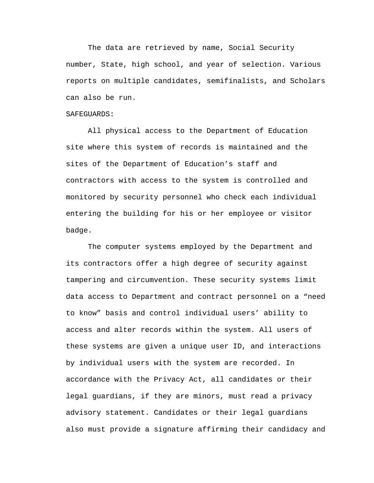The data are retrieved by name, Social Security number, State, high school, and year of selection. Various reports on multiple candidates, semifinalists, and Scholars can also be run.

### SAFEGUARDS:

All physical access to the Department of Education site where this system of records is maintained and the sites of the Department of Education's staff and contractors with access to the system is controlled and monitored by security personnel who check each individual entering the building for his or her employee or visitor badge.

The computer systems employed by the Department and its contractors offer a high degree of security against tampering and circumvention. These security systems limit data access to Department and contract personnel on a "need to know" basis and control individual users' ability to access and alter records within the system. All users of these systems are given a unique user ID, and interactions by individual users with the system are recorded. In accordance with the Privacy Act, all candidates or their legal guardians, if they are minors, must read a privacy advisory statement. Candidates or their legal guardians also must provide a signature affirming their candidacy and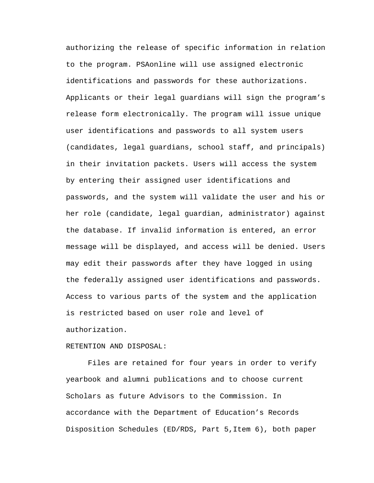authorizing the release of specific information in relation to the program. PSAonline will use assigned electronic identifications and passwords for these authorizations. Applicants or their legal guardians will sign the program's release form electronically. The program will issue unique user identifications and passwords to all system users (candidates, legal guardians, school staff, and principals) in their invitation packets. Users will access the system by entering their assigned user identifications and passwords, and the system will validate the user and his or her role (candidate, legal guardian, administrator) against the database. If invalid information is entered, an error message will be displayed, and access will be denied. Users may edit their passwords after they have logged in using the federally assigned user identifications and passwords. Access to various parts of the system and the application is restricted based on user role and level of authorization.

### RETENTION AND DISPOSAL:

Files are retained for four years in order to verify yearbook and alumni publications and to choose current Scholars as future Advisors to the Commission. In accordance with the Department of Education's Records Disposition Schedules (ED/RDS, Part 5,Item 6), both paper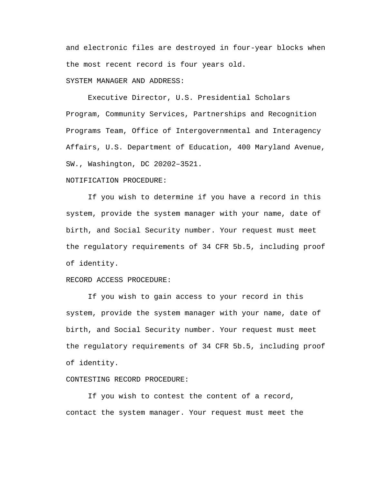and electronic files are destroyed in four-year blocks when the most recent record is four years old. SYSTEM MANAGER AND ADDRESS:

Executive Director, U.S. Presidential Scholars Program, Community Services, Partnerships and Recognition Programs Team, Office of Intergovernmental and Interagency Affairs, U.S. Department of Education, 400 Maryland Avenue, SW., Washington, DC 20202–3521.

## NOTIFICATION PROCEDURE:

If you wish to determine if you have a record in this system, provide the system manager with your name, date of birth, and Social Security number. Your request must meet the regulatory requirements of 34 CFR 5b.5, including proof of identity.

## RECORD ACCESS PROCEDURE:

If you wish to gain access to your record in this system, provide the system manager with your name, date of birth, and Social Security number. Your request must meet the regulatory requirements of 34 CFR 5b.5, including proof of identity.

# CONTESTING RECORD PROCEDURE:

If you wish to contest the content of a record, contact the system manager. Your request must meet the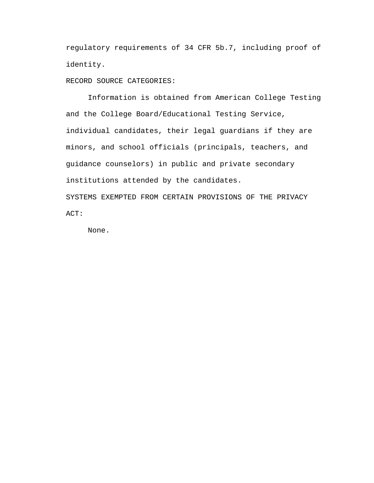regulatory requirements of 34 CFR 5b.7, including proof of identity.

RECORD SOURCE CATEGORIES:

Information is obtained from American College Testing and the College Board/Educational Testing Service, individual candidates, their legal guardians if they are minors, and school officials (principals, teachers, and guidance counselors) in public and private secondary institutions attended by the candidates. SYSTEMS EXEMPTED FROM CERTAIN PROVISIONS OF THE PRIVACY

ACT:

None.